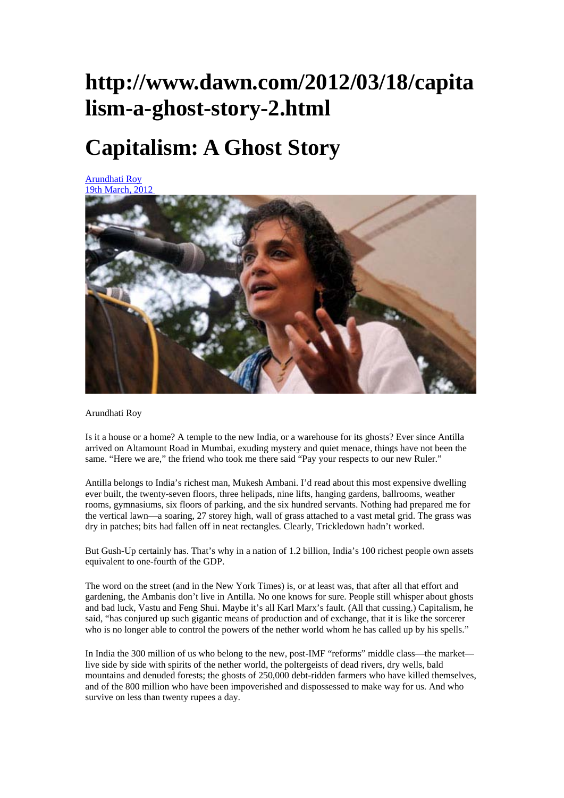## **http://www.dawn.com/2012/03/18/capita lism-a-ghost-story-2.html**

## **Capitalism: A Ghost Story**

[Arundhati Roy](http://www.dawn.com/author/arundhati-roy) [19th March, 2012](http://www.dawn.com/2012/03/18) 

Arundhati Roy

Is it a house or a home? A temple to the new India, or a warehouse for its ghosts? Ever since Antilla arrived on Altamount Road in Mumbai, exuding mystery and quiet menace, things have not been the same. "Here we are," the friend who took me there said "Pay your respects to our new Ruler."

Antilla belongs to India's richest man, Mukesh Ambani. I'd read about this most expensive dwelling ever built, the twenty-seven floors, three helipads, nine lifts, hanging gardens, ballrooms, weather rooms, gymnasiums, six floors of parking, and the six hundred servants. Nothing had prepared me for the vertical lawn—a soaring, 27 storey high, wall of grass attached to a vast metal grid. The grass was dry in patches; bits had fallen off in neat rectangles. Clearly, Trickledown hadn't worked.

But Gush-Up certainly has. That's why in a nation of 1.2 billion, India's 100 richest people own assets equivalent to one-fourth of the GDP.

The word on the street (and in the New York Times) is, or at least was, that after all that effort and gardening, the Ambanis don't live in Antilla. No one knows for sure. People still whisper about ghosts and bad luck, Vastu and Feng Shui. Maybe it's all Karl Marx's fault. (All that cussing.) Capitalism, he said, "has conjured up such gigantic means of production and of exchange, that it is like the sorcerer who is no longer able to control the powers of the nether world whom he has called up by his spells."

In India the 300 million of us who belong to the new, post-IMF "reforms" middle class—the market live side by side with spirits of the nether world, the poltergeists of dead rivers, dry wells, bald mountains and denuded forests; the ghosts of 250,000 debt-ridden farmers who have killed themselves, and of the 800 million who have been impoverished and dispossessed to make way for us. And who survive on less than twenty rupees a day.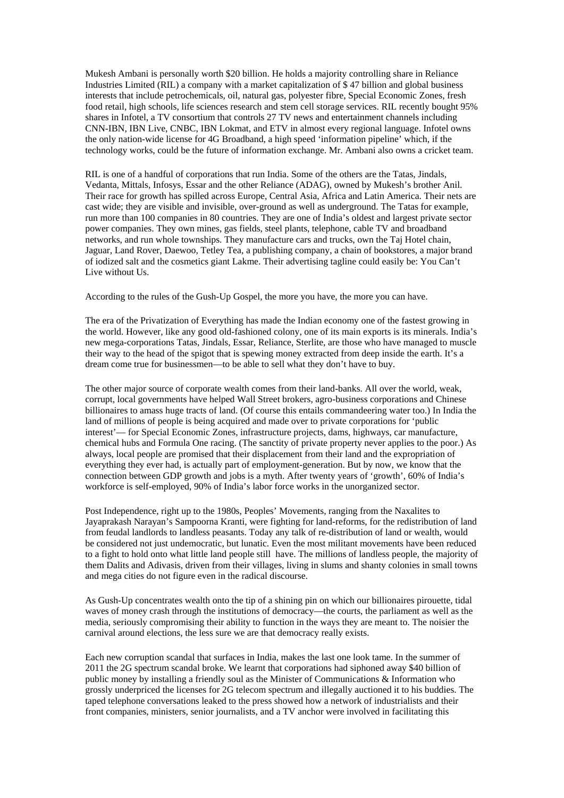Mukesh Ambani is personally worth \$20 billion. He holds a majority controlling share in Reliance Industries Limited (RIL) a company with a market capitalization of \$ 47 billion and global business interests that include petrochemicals, oil, natural gas, polyester fibre, Special Economic Zones, fresh food retail, high schools, life sciences research and stem cell storage services. RIL recently bought 95% shares in Infotel, a TV consortium that controls 27 TV news and entertainment channels including CNN-IBN, IBN Live, CNBC, IBN Lokmat, and ETV in almost every regional language. Infotel owns the only nation-wide license for 4G Broadband, a high speed 'information pipeline' which, if the technology works, could be the future of information exchange. Mr. Ambani also owns a cricket team.

RIL is one of a handful of corporations that run India. Some of the others are the Tatas, Jindals, Vedanta, Mittals, Infosys, Essar and the other Reliance (ADAG), owned by Mukesh's brother Anil. Their race for growth has spilled across Europe, Central Asia, Africa and Latin America. Their nets are cast wide; they are visible and invisible, over-ground as well as underground. The Tatas for example, run more than 100 companies in 80 countries. They are one of India's oldest and largest private sector power companies. They own mines, gas fields, steel plants, telephone, cable TV and broadband networks, and run whole townships. They manufacture cars and trucks, own the Taj Hotel chain, Jaguar, Land Rover, Daewoo, Tetley Tea, a publishing company, a chain of bookstores, a major brand of iodized salt and the cosmetics giant Lakme. Their advertising tagline could easily be: You Can't Live without Us.

According to the rules of the Gush-Up Gospel, the more you have, the more you can have.

The era of the Privatization of Everything has made the Indian economy one of the fastest growing in the world. However, like any good old-fashioned colony, one of its main exports is its minerals. India's new mega-corporations Tatas, Jindals, Essar, Reliance, Sterlite, are those who have managed to muscle their way to the head of the spigot that is spewing money extracted from deep inside the earth. It's a dream come true for businessmen—to be able to sell what they don't have to buy.

The other major source of corporate wealth comes from their land-banks. All over the world, weak, corrupt, local governments have helped Wall Street brokers, agro-business corporations and Chinese billionaires to amass huge tracts of land. (Of course this entails commandeering water too.) In India the land of millions of people is being acquired and made over to private corporations for 'public interest'— for Special Economic Zones, infrastructure projects, dams, highways, car manufacture, chemical hubs and Formula One racing. (The sanctity of private property never applies to the poor.) As always, local people are promised that their displacement from their land and the expropriation of everything they ever had, is actually part of employment-generation. But by now, we know that the connection between GDP growth and jobs is a myth. After twenty years of 'growth', 60% of India's workforce is self-employed, 90% of India's labor force works in the unorganized sector.

Post Independence, right up to the 1980s, Peoples' Movements, ranging from the Naxalites to Jayaprakash Narayan's Sampoorna Kranti, were fighting for land-reforms, for the redistribution of land from feudal landlords to landless peasants. Today any talk of re-distribution of land or wealth, would be considered not just undemocratic, but lunatic. Even the most militant movements have been reduced to a fight to hold onto what little land people still have. The millions of landless people, the majority of them Dalits and Adivasis, driven from their villages, living in slums and shanty colonies in small towns and mega cities do not figure even in the radical discourse.

As Gush-Up concentrates wealth onto the tip of a shining pin on which our billionaires pirouette, tidal waves of money crash through the institutions of democracy—the courts, the parliament as well as the media, seriously compromising their ability to function in the ways they are meant to. The noisier the carnival around elections, the less sure we are that democracy really exists.

Each new corruption scandal that surfaces in India, makes the last one look tame. In the summer of 2011 the 2G spectrum scandal broke. We learnt that corporations had siphoned away \$40 billion of public money by installing a friendly soul as the Minister of Communications & Information who grossly underpriced the licenses for 2G telecom spectrum and illegally auctioned it to his buddies. The taped telephone conversations leaked to the press showed how a network of industrialists and their front companies, ministers, senior journalists, and a TV anchor were involved in facilitating this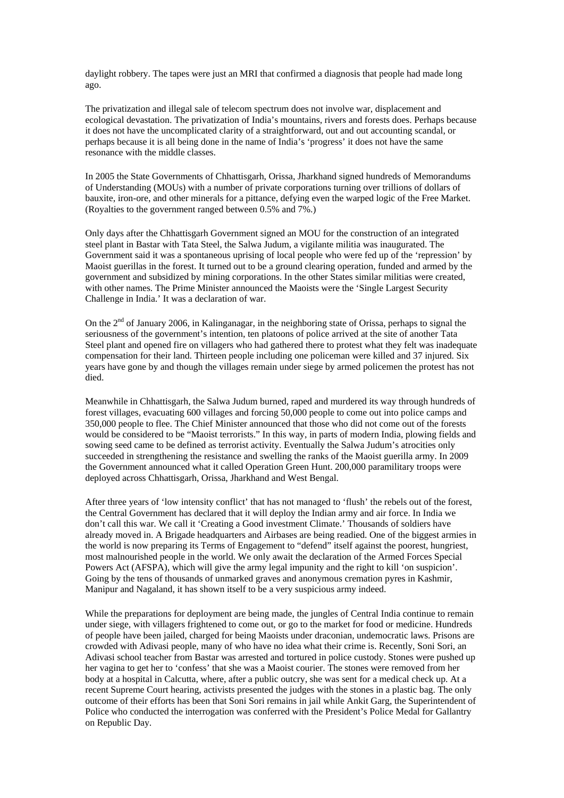daylight robbery. The tapes were just an MRI that confirmed a diagnosis that people had made long ago.

The privatization and illegal sale of telecom spectrum does not involve war, displacement and ecological devastation. The privatization of India's mountains, rivers and forests does. Perhaps because it does not have the uncomplicated clarity of a straightforward, out and out accounting scandal, or perhaps because it is all being done in the name of India's 'progress' it does not have the same resonance with the middle classes.

In 2005 the State Governments of Chhattisgarh, Orissa, Jharkhand signed hundreds of Memorandums of Understanding (MOUs) with a number of private corporations turning over trillions of dollars of bauxite, iron-ore, and other minerals for a pittance, defying even the warped logic of the Free Market. (Royalties to the government ranged between 0.5% and 7%.)

Only days after the Chhattisgarh Government signed an MOU for the construction of an integrated steel plant in Bastar with Tata Steel, the Salwa Judum, a vigilante militia was inaugurated. The Government said it was a spontaneous uprising of local people who were fed up of the 'repression' by Maoist guerillas in the forest. It turned out to be a ground clearing operation, funded and armed by the government and subsidized by mining corporations. In the other States similar militias were created, with other names. The Prime Minister announced the Maoists were the 'Single Largest Security Challenge in India.' It was a declaration of war.

On the 2<sup>nd</sup> of January 2006, in Kalinganagar, in the neighboring state of Orissa, perhaps to signal the seriousness of the government's intention, ten platoons of police arrived at the site of another Tata Steel plant and opened fire on villagers who had gathered there to protest what they felt was inadequate compensation for their land. Thirteen people including one policeman were killed and 37 injured. Six years have gone by and though the villages remain under siege by armed policemen the protest has not died.

Meanwhile in Chhattisgarh, the Salwa Judum burned, raped and murdered its way through hundreds of forest villages, evacuating 600 villages and forcing 50,000 people to come out into police camps and 350,000 people to flee. The Chief Minister announced that those who did not come out of the forests would be considered to be "Maoist terrorists." In this way, in parts of modern India, plowing fields and sowing seed came to be defined as terrorist activity. Eventually the Salwa Judum's atrocities only succeeded in strengthening the resistance and swelling the ranks of the Maoist guerilla army. In 2009 the Government announced what it called Operation Green Hunt. 200,000 paramilitary troops were deployed across Chhattisgarh, Orissa, Jharkhand and West Bengal.

After three years of 'low intensity conflict' that has not managed to 'flush' the rebels out of the forest, the Central Government has declared that it will deploy the Indian army and air force. In India we don't call this war. We call it 'Creating a Good investment Climate.' Thousands of soldiers have already moved in. A Brigade headquarters and Airbases are being readied. One of the biggest armies in the world is now preparing its Terms of Engagement to "defend" itself against the poorest, hungriest, most malnourished people in the world. We only await the declaration of the Armed Forces Special Powers Act (AFSPA), which will give the army legal impunity and the right to kill 'on suspicion'. Going by the tens of thousands of unmarked graves and anonymous cremation pyres in Kashmir, Manipur and Nagaland, it has shown itself to be a very suspicious army indeed.

While the preparations for deployment are being made, the jungles of Central India continue to remain under siege, with villagers frightened to come out, or go to the market for food or medicine. Hundreds of people have been jailed, charged for being Maoists under draconian, undemocratic laws. Prisons are crowded with Adivasi people, many of who have no idea what their crime is. Recently, Soni Sori, an Adivasi school teacher from Bastar was arrested and tortured in police custody. Stones were pushed up her vagina to get her to 'confess' that she was a Maoist courier. The stones were removed from her body at a hospital in Calcutta, where, after a public outcry, she was sent for a medical check up. At a recent Supreme Court hearing, activists presented the judges with the stones in a plastic bag. The only outcome of their efforts has been that Soni Sori remains in jail while Ankit Garg, the Superintendent of Police who conducted the interrogation was conferred with the President's Police Medal for Gallantry on Republic Day.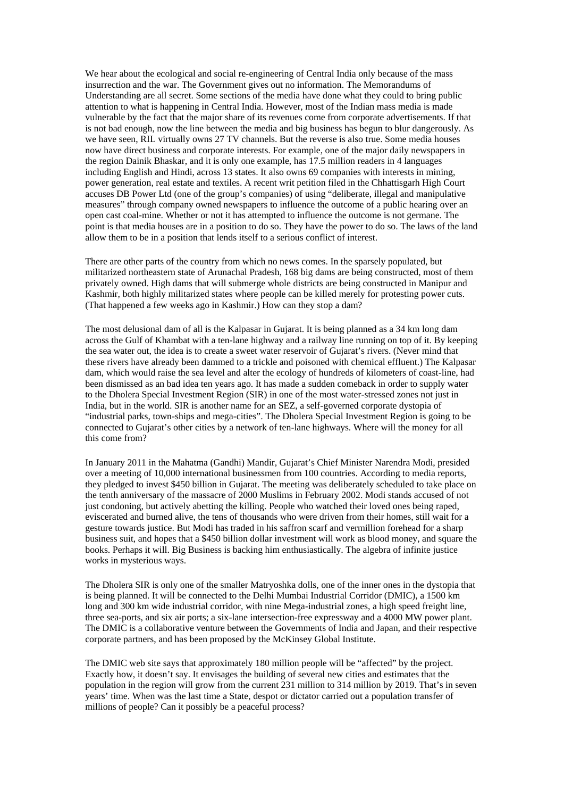We hear about the ecological and social re-engineering of Central India only because of the mass insurrection and the war. The Government gives out no information. The Memorandums of Understanding are all secret. Some sections of the media have done what they could to bring public attention to what is happening in Central India. However, most of the Indian mass media is made vulnerable by the fact that the major share of its revenues come from corporate advertisements. If that is not bad enough, now the line between the media and big business has begun to blur dangerously. As we have seen, RIL virtually owns 27 TV channels. But the reverse is also true. Some media houses now have direct business and corporate interests. For example, one of the major daily newspapers in the region Dainik Bhaskar, and it is only one example, has 17.5 million readers in 4 languages including English and Hindi, across 13 states. It also owns 69 companies with interests in mining, power generation, real estate and textiles. A recent writ petition filed in the Chhattisgarh High Court accuses DB Power Ltd (one of the group's companies) of using "deliberate, illegal and manipulative measures" through company owned newspapers to influence the outcome of a public hearing over an open cast coal-mine. Whether or not it has attempted to influence the outcome is not germane. The point is that media houses are in a position to do so. They have the power to do so. The laws of the land allow them to be in a position that lends itself to a serious conflict of interest.

There are other parts of the country from which no news comes. In the sparsely populated, but militarized northeastern state of Arunachal Pradesh, 168 big dams are being constructed, most of them privately owned. High dams that will submerge whole districts are being constructed in Manipur and Kashmir, both highly militarized states where people can be killed merely for protesting power cuts. (That happened a few weeks ago in Kashmir.) How can they stop a dam?

The most delusional dam of all is the Kalpasar in Gujarat. It is being planned as a 34 km long dam across the Gulf of Khambat with a ten-lane highway and a railway line running on top of it. By keeping the sea water out, the idea is to create a sweet water reservoir of Gujarat's rivers. (Never mind that these rivers have already been dammed to a trickle and poisoned with chemical effluent.) The Kalpasar dam, which would raise the sea level and alter the ecology of hundreds of kilometers of coast-line, had been dismissed as an bad idea ten years ago. It has made a sudden comeback in order to supply water to the Dholera Special Investment Region (SIR) in one of the most water-stressed zones not just in India, but in the world. SIR is another name for an SEZ, a self-governed corporate dystopia of "industrial parks, town-ships and mega-cities". The Dholera Special Investment Region is going to be connected to Gujarat's other cities by a network of ten-lane highways. Where will the money for all this come from?

In January 2011 in the Mahatma (Gandhi) Mandir, Gujarat's Chief Minister Narendra Modi, presided over a meeting of 10,000 international businessmen from 100 countries. According to media reports, they pledged to invest \$450 billion in Gujarat. The meeting was deliberately scheduled to take place on the tenth anniversary of the massacre of 2000 Muslims in February 2002. Modi stands accused of not just condoning, but actively abetting the killing. People who watched their loved ones being raped, eviscerated and burned alive, the tens of thousands who were driven from their homes, still wait for a gesture towards justice. But Modi has traded in his saffron scarf and vermillion forehead for a sharp business suit, and hopes that a \$450 billion dollar investment will work as blood money, and square the books. Perhaps it will. Big Business is backing him enthusiastically. The algebra of infinite justice works in mysterious ways.

The Dholera SIR is only one of the smaller Matryoshka dolls, one of the inner ones in the dystopia that is being planned. It will be connected to the Delhi Mumbai Industrial Corridor (DMIC), a 1500 km long and 300 km wide industrial corridor, with nine Mega-industrial zones, a high speed freight line, three sea-ports, and six air ports; a six-lane intersection-free expressway and a 4000 MW power plant. The DMIC is a collaborative venture between the Governments of India and Japan, and their respective corporate partners, and has been proposed by the McKinsey Global Institute.

The DMIC web site says that approximately 180 million people will be "affected" by the project. Exactly how, it doesn't say. It envisages the building of several new cities and estimates that the population in the region will grow from the current 231 million to 314 million by 2019. That's in seven years' time. When was the last time a State, despot or dictator carried out a population transfer of millions of people? Can it possibly be a peaceful process?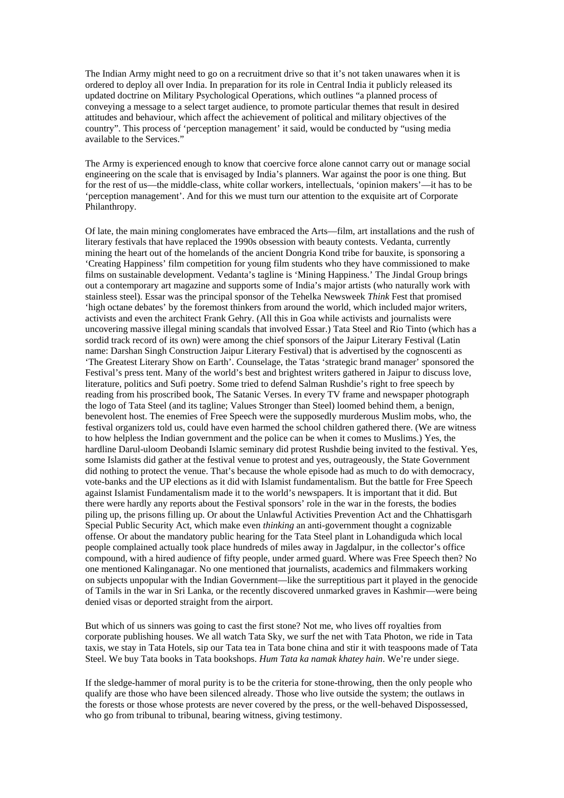The Indian Army might need to go on a recruitment drive so that it's not taken unawares when it is ordered to deploy all over India. In preparation for its role in Central India it publicly released its updated doctrine on Military Psychological Operations, which outlines "a planned process of conveying a message to a select target audience, to promote particular themes that result in desired attitudes and behaviour, which affect the achievement of political and military objectives of the country". This process of 'perception management' it said, would be conducted by "using media available to the Services."

The Army is experienced enough to know that coercive force alone cannot carry out or manage social engineering on the scale that is envisaged by India's planners. War against the poor is one thing. But for the rest of us—the middle-class, white collar workers, intellectuals, 'opinion makers'—it has to be 'perception management'. And for this we must turn our attention to the exquisite art of Corporate Philanthropy.

Of late, the main mining conglomerates have embraced the Arts—film, art installations and the rush of literary festivals that have replaced the 1990s obsession with beauty contests. Vedanta, currently mining the heart out of the homelands of the ancient Dongria Kond tribe for bauxite, is sponsoring a 'Creating Happiness' film competition for young film students who they have commissioned to make films on sustainable development. Vedanta's tagline is 'Mining Happiness.' The Jindal Group brings out a contemporary art magazine and supports some of India's major artists (who naturally work with stainless steel). Essar was the principal sponsor of the Tehelka Newsweek *Think* Fest that promised 'high octane debates' by the foremost thinkers from around the world, which included major writers, activists and even the architect Frank Gehry. (All this in Goa while activists and journalists were uncovering massive illegal mining scandals that involved Essar.) Tata Steel and Rio Tinto (which has a sordid track record of its own) were among the chief sponsors of the Jaipur Literary Festival (Latin name: Darshan Singh Construction Jaipur Literary Festival) that is advertised by the cognoscenti as 'The Greatest Literary Show on Earth'. Counselage, the Tatas 'strategic brand manager' sponsored the Festival's press tent. Many of the world's best and brightest writers gathered in Jaipur to discuss love, literature, politics and Sufi poetry. Some tried to defend Salman Rushdie's right to free speech by reading from his proscribed book, The Satanic Verses. In every TV frame and newspaper photograph the logo of Tata Steel (and its tagline; Values Stronger than Steel) loomed behind them, a benign, benevolent host. The enemies of Free Speech were the supposedly murderous Muslim mobs, who, the festival organizers told us, could have even harmed the school children gathered there. (We are witness to how helpless the Indian government and the police can be when it comes to Muslims.) Yes, the hardline Darul-uloom Deobandi Islamic seminary did protest Rushdie being invited to the festival. Yes, some Islamists did gather at the festival venue to protest and yes, outrageously, the State Government did nothing to protect the venue. That's because the whole episode had as much to do with democracy, vote-banks and the UP elections as it did with Islamist fundamentalism. But the battle for Free Speech against Islamist Fundamentalism made it to the world's newspapers. It is important that it did. But there were hardly any reports about the Festival sponsors' role in the war in the forests, the bodies piling up, the prisons filling up. Or about the Unlawful Activities Prevention Act and the Chhattisgarh Special Public Security Act, which make even *thinking* an anti-government thought a cognizable offense. Or about the mandatory public hearing for the Tata Steel plant in Lohandiguda which local people complained actually took place hundreds of miles away in Jagdalpur, in the collector's office compound, with a hired audience of fifty people, under armed guard. Where was Free Speech then? No one mentioned Kalinganagar. No one mentioned that journalists, academics and filmmakers working on subjects unpopular with the Indian Government—like the surreptitious part it played in the genocide of Tamils in the war in Sri Lanka, or the recently discovered unmarked graves in Kashmir—were being denied visas or deported straight from the airport.

But which of us sinners was going to cast the first stone? Not me, who lives off royalties from corporate publishing houses. We all watch Tata Sky, we surf the net with Tata Photon, we ride in Tata taxis, we stay in Tata Hotels, sip our Tata tea in Tata bone china and stir it with teaspoons made of Tata Steel. We buy Tata books in Tata bookshops. *Hum Tata ka namak khatey hain*. We're under siege.

If the sledge-hammer of moral purity is to be the criteria for stone-throwing, then the only people who qualify are those who have been silenced already. Those who live outside the system; the outlaws in the forests or those whose protests are never covered by the press, or the well-behaved Dispossessed, who go from tribunal to tribunal, bearing witness, giving testimony.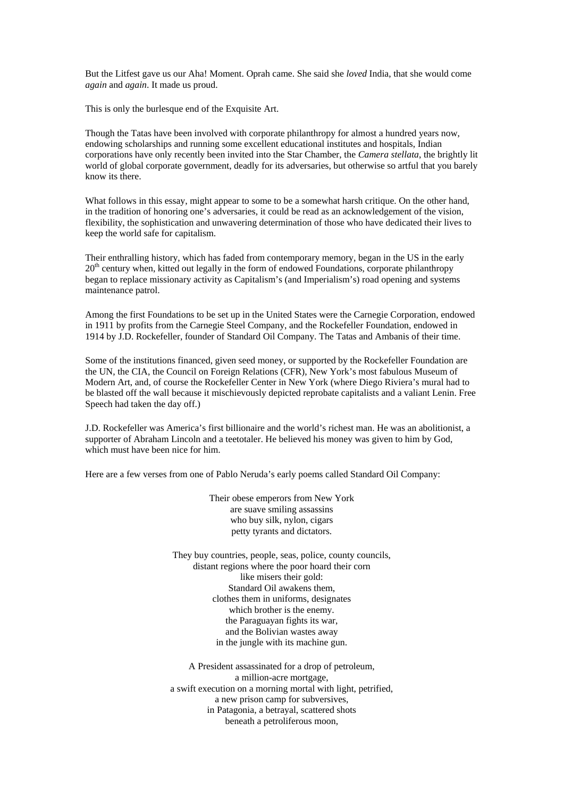But the Litfest gave us our Aha! Moment. Oprah came. She said she *loved* India, that she would come *again* and *again*. It made us proud.

This is only the burlesque end of the Exquisite Art.

Though the Tatas have been involved with corporate philanthropy for almost a hundred years now, endowing scholarships and running some excellent educational institutes and hospitals, Indian corporations have only recently been invited into the Star Chamber, the *Camera stellata*, the brightly lit world of global corporate government, deadly for its adversaries, but otherwise so artful that you barely know its there.

What follows in this essay, might appear to some to be a somewhat harsh critique. On the other hand, in the tradition of honoring one's adversaries, it could be read as an acknowledgement of the vision, flexibility, the sophistication and unwavering determination of those who have dedicated their lives to keep the world safe for capitalism.

Their enthralling history, which has faded from contemporary memory, began in the US in the early 20<sup>th</sup> century when, kitted out legally in the form of endowed Foundations, corporate philanthropy began to replace missionary activity as Capitalism's (and Imperialism's) road opening and systems maintenance patrol.

Among the first Foundations to be set up in the United States were the Carnegie Corporation, endowed in 1911 by profits from the Carnegie Steel Company, and the Rockefeller Foundation, endowed in 1914 by J.D. Rockefeller, founder of Standard Oil Company. The Tatas and Ambanis of their time.

Some of the institutions financed, given seed money, or supported by the Rockefeller Foundation are the UN, the CIA, the Council on Foreign Relations (CFR), New York's most fabulous Museum of Modern Art, and, of course the Rockefeller Center in New York (where Diego Riviera's mural had to be blasted off the wall because it mischievously depicted reprobate capitalists and a valiant Lenin. Free Speech had taken the day off.)

J.D. Rockefeller was America's first billionaire and the world's richest man. He was an abolitionist, a supporter of Abraham Lincoln and a teetotaler. He believed his money was given to him by God, which must have been nice for him.

Here are a few verses from one of Pablo Neruda's early poems called Standard Oil Company:

Their obese emperors from New York are suave smiling assassins who buy silk, nylon, cigars petty tyrants and dictators.

They buy countries, people, seas, police, county councils, distant regions where the poor hoard their corn like misers their gold: Standard Oil awakens them, clothes them in uniforms, designates which brother is the enemy. the Paraguayan fights its war, and the Bolivian wastes away in the jungle with its machine gun.

A President assassinated for a drop of petroleum, a million-acre mortgage, a swift execution on a morning mortal with light, petrified, a new prison camp for subversives, in Patagonia, a betrayal, scattered shots beneath a petroliferous moon,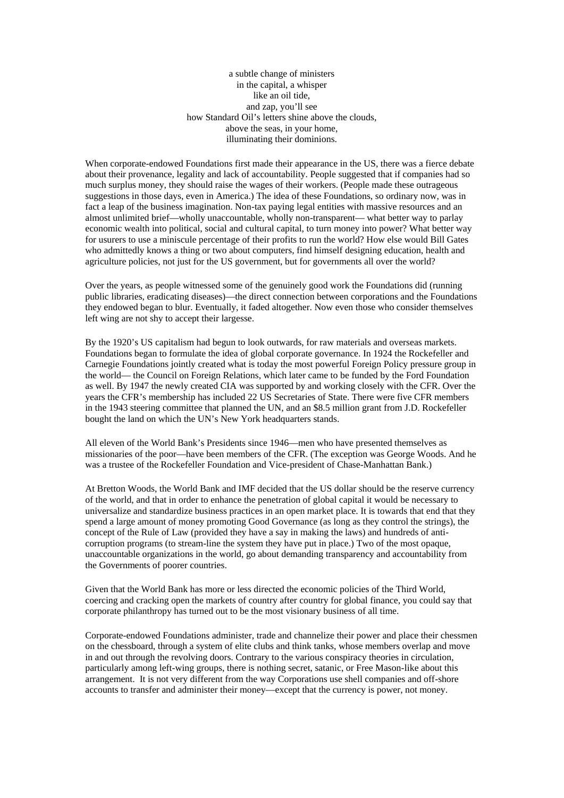a subtle change of ministers in the capital, a whisper like an oil tide, and zap, you'll see how Standard Oil's letters shine above the clouds, above the seas, in your home, illuminating their dominions.

When corporate-endowed Foundations first made their appearance in the US, there was a fierce debate about their provenance, legality and lack of accountability. People suggested that if companies had so much surplus money, they should raise the wages of their workers. (People made these outrageous suggestions in those days, even in America.) The idea of these Foundations, so ordinary now, was in fact a leap of the business imagination. Non-tax paying legal entities with massive resources and an almost unlimited brief—wholly unaccountable, wholly non-transparent— what better way to parlay economic wealth into political, social and cultural capital, to turn money into power? What better way for usurers to use a miniscule percentage of their profits to run the world? How else would Bill Gates who admittedly knows a thing or two about computers, find himself designing education, health and agriculture policies, not just for the US government, but for governments all over the world?

Over the years, as people witnessed some of the genuinely good work the Foundations did (running public libraries, eradicating diseases)—the direct connection between corporations and the Foundations they endowed began to blur. Eventually, it faded altogether. Now even those who consider themselves left wing are not shy to accept their largesse.

By the 1920's US capitalism had begun to look outwards, for raw materials and overseas markets. Foundations began to formulate the idea of global corporate governance. In 1924 the Rockefeller and Carnegie Foundations jointly created what is today the most powerful Foreign Policy pressure group in the world— the Council on Foreign Relations, which later came to be funded by the Ford Foundation as well. By 1947 the newly created CIA was supported by and working closely with the CFR. Over the years the CFR's membership has included 22 US Secretaries of State. There were five CFR members in the 1943 steering committee that planned the UN, and an \$8.5 million grant from J.D. Rockefeller bought the land on which the UN's New York headquarters stands.

All eleven of the World Bank's Presidents since 1946—men who have presented themselves as missionaries of the poor—have been members of the CFR. (The exception was George Woods. And he was a trustee of the Rockefeller Foundation and Vice-president of Chase-Manhattan Bank.)

At Bretton Woods, the World Bank and IMF decided that the US dollar should be the reserve currency of the world, and that in order to enhance the penetration of global capital it would be necessary to universalize and standardize business practices in an open market place. It is towards that end that they spend a large amount of money promoting Good Governance (as long as they control the strings), the concept of the Rule of Law (provided they have a say in making the laws) and hundreds of anticorruption programs (to stream-line the system they have put in place.) Two of the most opaque, unaccountable organizations in the world, go about demanding transparency and accountability from the Governments of poorer countries.

Given that the World Bank has more or less directed the economic policies of the Third World, coercing and cracking open the markets of country after country for global finance, you could say that corporate philanthropy has turned out to be the most visionary business of all time.

Corporate-endowed Foundations administer, trade and channelize their power and place their chessmen on the chessboard, through a system of elite clubs and think tanks, whose members overlap and move in and out through the revolving doors. Contrary to the various conspiracy theories in circulation, particularly among left-wing groups, there is nothing secret, satanic, or Free Mason-like about this arrangement. It is not very different from the way Corporations use shell companies and off-shore accounts to transfer and administer their money—except that the currency is power, not money.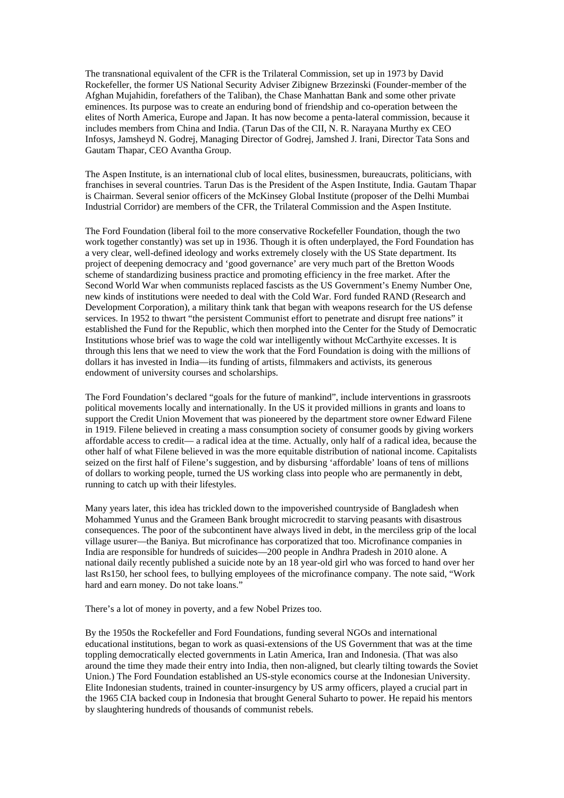The transnational equivalent of the CFR is the Trilateral Commission, set up in 1973 by David Rockefeller, the former US National Security Adviser Zibignew Brzezinski (Founder-member of the Afghan Mujahidin, forefathers of the Taliban), the Chase Manhattan Bank and some other private eminences. Its purpose was to create an enduring bond of friendship and co-operation between the elites of North America, Europe and Japan. It has now become a penta-lateral commission, because it includes members from China and India. (Tarun Das of the CII, N. R. Narayana Murthy ex CEO Infosys, Jamsheyd N. Godrej, Managing Director of Godrej, Jamshed J. Irani, Director Tata Sons and Gautam Thapar, CEO Avantha Group.

The Aspen Institute, is an international club of local elites, businessmen, bureaucrats, politicians, with franchises in several countries. Tarun Das is the President of the Aspen Institute, India. Gautam Thapar is Chairman. Several senior officers of the McKinsey Global Institute (proposer of the Delhi Mumbai Industrial Corridor) are members of the CFR, the Trilateral Commission and the Aspen Institute.

The Ford Foundation (liberal foil to the more conservative Rockefeller Foundation, though the two work together constantly) was set up in 1936. Though it is often underplayed, the Ford Foundation has a very clear, well-defined ideology and works extremely closely with the US State department. Its project of deepening democracy and 'good governance' are very much part of the Bretton Woods scheme of standardizing business practice and promoting efficiency in the free market. After the Second World War when communists replaced fascists as the US Government's Enemy Number One, new kinds of institutions were needed to deal with the Cold War. Ford funded RAND (Research and Development Corporation), a military think tank that began with weapons research for the US defense services. In 1952 to thwart "the persistent Communist effort to penetrate and disrupt free nations" it established the Fund for the Republic, which then morphed into the Center for the Study of Democratic Institutions whose brief was to wage the cold war intelligently without McCarthyite excesses. It is through this lens that we need to view the work that the Ford Foundation is doing with the millions of dollars it has invested in India—its funding of artists, filmmakers and activists, its generous endowment of university courses and scholarships.

The Ford Foundation's declared "goals for the future of mankind", include interventions in grassroots political movements locally and internationally. In the US it provided millions in grants and loans to support the Credit Union Movement that was pioneered by the department store owner Edward Filene in 1919. Filene believed in creating a mass consumption society of consumer goods by giving workers affordable access to credit— a radical idea at the time. Actually, only half of a radical idea, because the other half of what Filene believed in was the more equitable distribution of national income. Capitalists seized on the first half of Filene's suggestion, and by disbursing 'affordable' loans of tens of millions of dollars to working people, turned the US working class into people who are permanently in debt, running to catch up with their lifestyles.

Many years later, this idea has trickled down to the impoverished countryside of Bangladesh when Mohammed Yunus and the Grameen Bank brought microcredit to starving peasants with disastrous consequences. The poor of the subcontinent have always lived in debt, in the merciless grip of the local village usurer—the Baniya. But microfinance has corporatized that too. Microfinance companies in India are responsible for hundreds of suicides—200 people in Andhra Pradesh in 2010 alone. A national daily recently published a suicide note by an 18 year-old girl who was forced to hand over her last Rs150, her school fees, to bullying employees of the microfinance company. The note said, "Work hard and earn money. Do not take loans."

There's a lot of money in poverty, and a few Nobel Prizes too.

By the 1950s the Rockefeller and Ford Foundations, funding several NGOs and international educational institutions, began to work as quasi-extensions of the US Government that was at the time toppling democratically elected governments in Latin America, Iran and Indonesia. (That was also around the time they made their entry into India, then non-aligned, but clearly tilting towards the Soviet Union.) The Ford Foundation established an US-style economics course at the Indonesian University. Elite Indonesian students, trained in counter-insurgency by US army officers, played a crucial part in the 1965 CIA backed coup in Indonesia that brought General Suharto to power. He repaid his mentors by slaughtering hundreds of thousands of communist rebels.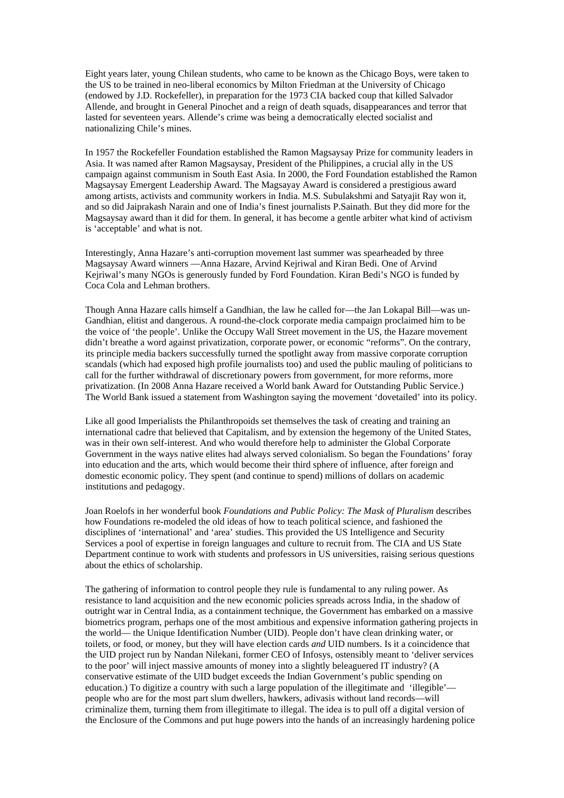Eight years later, young Chilean students, who came to be known as the Chicago Boys, were taken to the US to be trained in neo-liberal economics by Milton Friedman at the University of Chicago (endowed by J.D. Rockefeller), in preparation for the 1973 CIA backed coup that killed Salvador Allende, and brought in General Pinochet and a reign of death squads, disappearances and terror that lasted for seventeen years. Allende's crime was being a democratically elected socialist and nationalizing Chile's mines.

In 1957 the Rockefeller Foundation established the Ramon Magsaysay Prize for community leaders in Asia. It was named after Ramon Magsaysay, President of the Philippines, a crucial ally in the US campaign against communism in South East Asia. In 2000, the Ford Foundation established the Ramon Magsaysay Emergent Leadership Award. The Magsayay Award is considered a prestigious award among artists, activists and community workers in India. M.S. Subulakshmi and Satyajit Ray won it, and so did Jaiprakash Narain and one of India's finest journalists P.Sainath. But they did more for the Magsaysay award than it did for them. In general, it has become a gentle arbiter what kind of activism is 'acceptable' and what is not.

Interestingly, Anna Hazare's anti-corruption movement last summer was spearheaded by three Magsaysay Award winners —Anna Hazare, Arvind Kejriwal and Kiran Bedi. One of Arvind Kejriwal's many NGOs is generously funded by Ford Foundation. Kiran Bedi's NGO is funded by Coca Cola and Lehman brothers.

Though Anna Hazare calls himself a Gandhian, the law he called for—the Jan Lokapal Bill—was un-Gandhian, elitist and dangerous. A round-the-clock corporate media campaign proclaimed him to be the voice of 'the people'. Unlike the Occupy Wall Street movement in the US, the Hazare movement didn't breathe a word against privatization, corporate power, or economic "reforms". On the contrary, its principle media backers successfully turned the spotlight away from massive corporate corruption scandals (which had exposed high profile journalists too) and used the public mauling of politicians to call for the further withdrawal of discretionary powers from government, for more reforms, more privatization. (In 2008 Anna Hazare received a World bank Award for Outstanding Public Service.) The World Bank issued a statement from Washington saying the movement 'dovetailed' into its policy.

Like all good Imperialists the Philanthropoids set themselves the task of creating and training an international cadre that believed that Capitalism, and by extension the hegemony of the United States, was in their own self-interest. And who would therefore help to administer the Global Corporate Government in the ways native elites had always served colonialism. So began the Foundations' foray into education and the arts, which would become their third sphere of influence, after foreign and domestic economic policy. They spent (and continue to spend) millions of dollars on academic institutions and pedagogy.

Joan Roelofs in her wonderful book *Foundations and Public Policy: The Mask of Pluralism* describes how Foundations re-modeled the old ideas of how to teach political science, and fashioned the disciplines of 'international' and 'area' studies. This provided the US Intelligence and Security Services a pool of expertise in foreign languages and culture to recruit from. The CIA and US State Department continue to work with students and professors in US universities, raising serious questions about the ethics of scholarship.

The gathering of information to control people they rule is fundamental to any ruling power. As resistance to land acquisition and the new economic policies spreads across India, in the shadow of outright war in Central India, as a containment technique, the Government has embarked on a massive biometrics program, perhaps one of the most ambitious and expensive information gathering projects in the world— the Unique Identification Number (UID). People don't have clean drinking water, or toilets, or food, or money, but they will have election cards *and* UID numbers. Is it a coincidence that the UID project run by Nandan Nilekani, former CEO of Infosys, ostensibly meant to 'deliver services to the poor' will inject massive amounts of money into a slightly beleaguered IT industry? (A conservative estimate of the UID budget exceeds the Indian Government's public spending on education.) To digitize a country with such a large population of the illegitimate and 'illegible' people who are for the most part slum dwellers, hawkers, adivasis without land records—will criminalize them, turning them from illegitimate to illegal. The idea is to pull off a digital version of the Enclosure of the Commons and put huge powers into the hands of an increasingly hardening police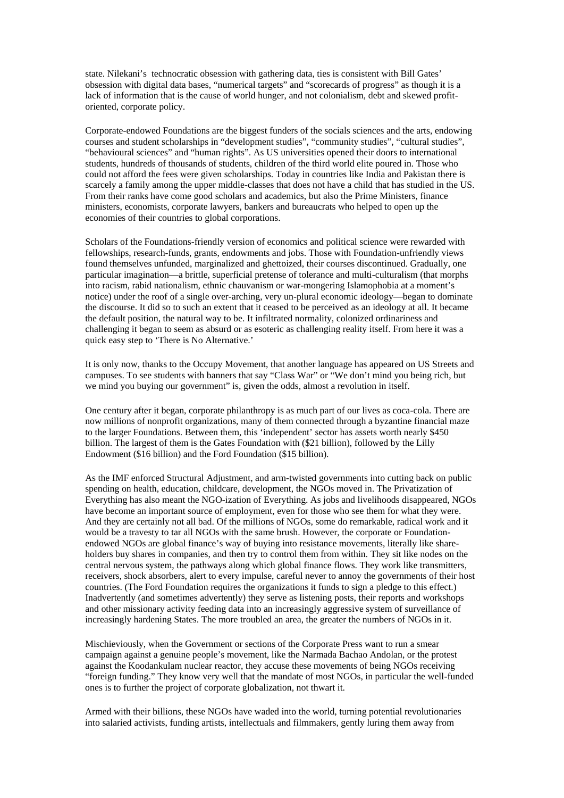state. Nilekani's technocratic obsession with gathering data, ties is consistent with Bill Gates' obsession with digital data bases, "numerical targets" and "scorecards of progress" as though it is a lack of information that is the cause of world hunger, and not colonialism, debt and skewed profitoriented, corporate policy.

Corporate-endowed Foundations are the biggest funders of the socials sciences and the arts, endowing courses and student scholarships in "development studies", "community studies", "cultural studies", "behavioural sciences" and "human rights". As US universities opened their doors to international students, hundreds of thousands of students, children of the third world elite poured in. Those who could not afford the fees were given scholarships. Today in countries like India and Pakistan there is scarcely a family among the upper middle-classes that does not have a child that has studied in the US. From their ranks have come good scholars and academics, but also the Prime Ministers, finance ministers, economists, corporate lawyers, bankers and bureaucrats who helped to open up the economies of their countries to global corporations.

Scholars of the Foundations-friendly version of economics and political science were rewarded with fellowships, research-funds, grants, endowments and jobs. Those with Foundation-unfriendly views found themselves unfunded, marginalized and ghettoized, their courses discontinued. Gradually, one particular imagination—a brittle, superficial pretense of tolerance and multi-culturalism (that morphs into racism, rabid nationalism, ethnic chauvanism or war-mongering Islamophobia at a moment's notice) under the roof of a single over-arching, very un-plural economic ideology—began to dominate the discourse. It did so to such an extent that it ceased to be perceived as an ideology at all. It became the default position, the natural way to be. It infiltrated normality, colonized ordinariness and challenging it began to seem as absurd or as esoteric as challenging reality itself. From here it was a quick easy step to 'There is No Alternative.'

It is only now, thanks to the Occupy Movement, that another language has appeared on US Streets and campuses. To see students with banners that say "Class War" or "We don't mind you being rich, but we mind you buying our government" is, given the odds, almost a revolution in itself.

One century after it began, corporate philanthropy is as much part of our lives as coca-cola. There are now millions of nonprofit organizations, many of them connected through a byzantine financial maze to the larger Foundations. Between them, this 'independent' sector has assets worth nearly \$450 billion. The largest of them is the Gates Foundation with (\$21 billion), followed by the Lilly Endowment (\$16 billion) and the Ford Foundation (\$15 billion).

As the IMF enforced Structural Adjustment, and arm-twisted governments into cutting back on public spending on health, education, childcare, development, the NGOs moved in. The Privatization of Everything has also meant the NGO-ization of Everything. As jobs and livelihoods disappeared, NGOs have become an important source of employment, even for those who see them for what they were. And they are certainly not all bad. Of the millions of NGOs, some do remarkable, radical work and it would be a travesty to tar all NGOs with the same brush. However, the corporate or Foundationendowed NGOs are global finance's way of buying into resistance movements, literally like shareholders buy shares in companies, and then try to control them from within. They sit like nodes on the central nervous system, the pathways along which global finance flows. They work like transmitters, receivers, shock absorbers, alert to every impulse, careful never to annoy the governments of their host countries. (The Ford Foundation requires the organizations it funds to sign a pledge to this effect.) Inadvertently (and sometimes advertently) they serve as listening posts, their reports and workshops and other missionary activity feeding data into an increasingly aggressive system of surveillance of increasingly hardening States. The more troubled an area, the greater the numbers of NGOs in it.

Mischieviously, when the Government or sections of the Corporate Press want to run a smear campaign against a genuine people's movement, like the Narmada Bachao Andolan, or the protest against the Koodankulam nuclear reactor, they accuse these movements of being NGOs receiving "foreign funding." They know very well that the mandate of most NGOs, in particular the well-funded ones is to further the project of corporate globalization, not thwart it.

Armed with their billions, these NGOs have waded into the world, turning potential revolutionaries into salaried activists, funding artists, intellectuals and filmmakers, gently luring them away from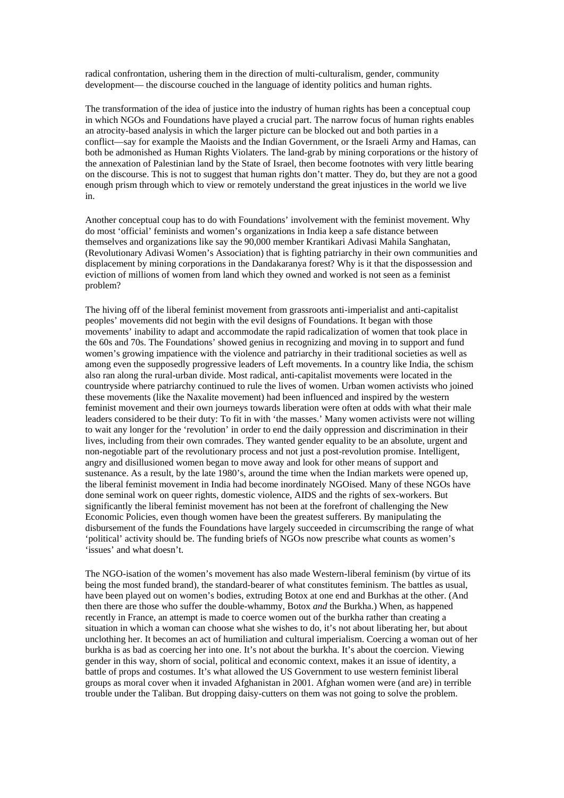radical confrontation, ushering them in the direction of multi-culturalism, gender, community development— the discourse couched in the language of identity politics and human rights.

The transformation of the idea of justice into the industry of human rights has been a conceptual coup in which NGOs and Foundations have played a crucial part. The narrow focus of human rights enables an atrocity-based analysis in which the larger picture can be blocked out and both parties in a conflict—say for example the Maoists and the Indian Government, or the Israeli Army and Hamas, can both be admonished as Human Rights Violaters. The land-grab by mining corporations or the history of the annexation of Palestinian land by the State of Israel, then become footnotes with very little bearing on the discourse. This is not to suggest that human rights don't matter. They do, but they are not a good enough prism through which to view or remotely understand the great injustices in the world we live in.

Another conceptual coup has to do with Foundations' involvement with the feminist movement. Why do most 'official' feminists and women's organizations in India keep a safe distance between themselves and organizations like say the 90,000 member Krantikari Adivasi Mahila Sanghatan, (Revolutionary Adivasi Women's Association) that is fighting patriarchy in their own communities and displacement by mining corporations in the Dandakaranya forest? Why is it that the dispossession and eviction of millions of women from land which they owned and worked is not seen as a feminist problem?

The hiving off of the liberal feminist movement from grassroots anti-imperialist and anti-capitalist peoples' movements did not begin with the evil designs of Foundations. It began with those movements' inability to adapt and accommodate the rapid radicalization of women that took place in the 60s and 70s. The Foundations' showed genius in recognizing and moving in to support and fund women's growing impatience with the violence and patriarchy in their traditional societies as well as among even the supposedly progressive leaders of Left movements. In a country like India, the schism also ran along the rural-urban divide. Most radical, anti-capitalist movements were located in the countryside where patriarchy continued to rule the lives of women. Urban women activists who joined these movements (like the Naxalite movement) had been influenced and inspired by the western feminist movement and their own journeys towards liberation were often at odds with what their male leaders considered to be their duty: To fit in with 'the masses.' Many women activists were not willing to wait any longer for the 'revolution' in order to end the daily oppression and discrimination in their lives, including from their own comrades. They wanted gender equality to be an absolute, urgent and non-negotiable part of the revolutionary process and not just a post-revolution promise. Intelligent, angry and disillusioned women began to move away and look for other means of support and sustenance. As a result, by the late 1980's, around the time when the Indian markets were opened up, the liberal feminist movement in India had become inordinately NGOised. Many of these NGOs have done seminal work on queer rights, domestic violence, AIDS and the rights of sex-workers. But significantly the liberal feminist movement has not been at the forefront of challenging the New Economic Policies, even though women have been the greatest sufferers. By manipulating the disbursement of the funds the Foundations have largely succeeded in circumscribing the range of what 'political' activity should be. The funding briefs of NGOs now prescribe what counts as women's 'issues' and what doesn't.

The NGO-isation of the women's movement has also made Western-liberal feminism (by virtue of its being the most funded brand), the standard-bearer of what constitutes feminism. The battles as usual, have been played out on women's bodies, extruding Botox at one end and Burkhas at the other. (And then there are those who suffer the double-whammy, Botox *and* the Burkha.) When, as happened recently in France, an attempt is made to coerce women out of the burkha rather than creating a situation in which a woman can choose what she wishes to do, it's not about liberating her, but about unclothing her. It becomes an act of humiliation and cultural imperialism. Coercing a woman out of her burkha is as bad as coercing her into one. It's not about the burkha. It's about the coercion. Viewing gender in this way, shorn of social, political and economic context, makes it an issue of identity, a battle of props and costumes. It's what allowed the US Government to use western feminist liberal groups as moral cover when it invaded Afghanistan in 2001. Afghan women were (and are) in terrible trouble under the Taliban. But dropping daisy-cutters on them was not going to solve the problem.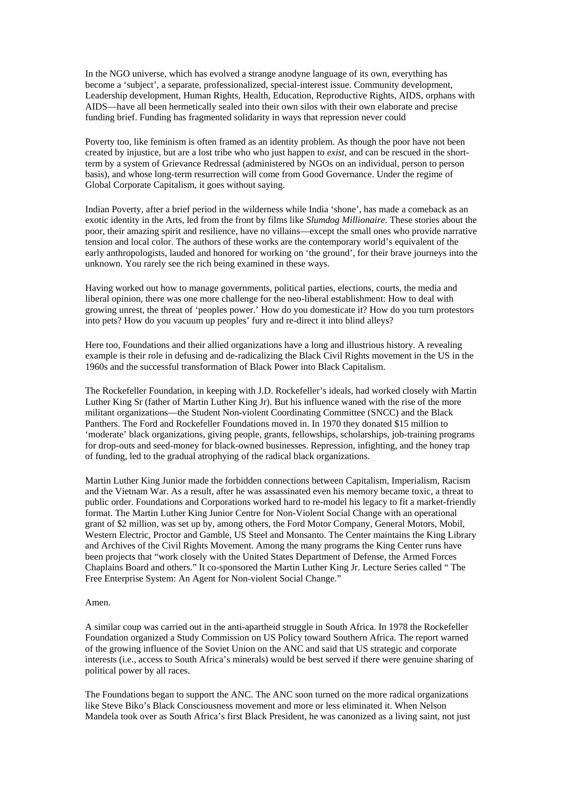In the NGO universe, which has evolved a strange anodyne language of its own, everything has become a 'subject', a separate, professionalized, special-interest issue. Community development, Leadership development, Human Rights, Health, Education, Reproductive Rights, AIDS, orphans with AIDS—have all been hermetically sealed into their own silos with their own elaborate and precise funding brief. Funding has fragmented solidarity in ways that repression never could

Poverty too, like feminism is often framed as an identity problem. As though the poor have not been created by injustice, but are a lost tribe who who just happen to *exist*, and can be rescued in the shortterm by a system of Grievance Redressal (administered by NGOs on an individual, person to person basis), and whose long-term resurrection will come from Good Governance. Under the regime of Global Corporate Capitalism, it goes without saying.

Indian Poverty, after a brief period in the wilderness while India 'shone', has made a comeback as an exotic identity in the Arts, led from the front by films like *Slumdog Millionaire*. These stories about the poor, their amazing spirit and resilience, have no villains—except the small ones who provide narrative tension and local color. The authors of these works are the contemporary world's equivalent of the early anthropologists, lauded and honored for working on 'the ground', for their brave journeys into the unknown. You rarely see the rich being examined in these ways.

Having worked out how to manage governments, political parties, elections, courts, the media and liberal opinion, there was one more challenge for the neo-liberal establishment: How to deal with growing unrest, the threat of 'peoples power.' How do you domesticate it? How do you turn protestors into pets? How do you vacuum up peoples' fury and re-direct it into blind alleys?

Here too, Foundations and their allied organizations have a long and illustrious history. A revealing example is their role in defusing and de-radicalizing the Black Civil Rights movement in the US in the 1960s and the successful transformation of Black Power into Black Capitalism.

The Rockefeller Foundation, in keeping with J.D. Rockefeller's ideals, had worked closely with Martin Luther King Sr (father of Martin Luther King Jr). But his influence waned with the rise of the more militant organizations—the Student Non-violent Coordinating Committee (SNCC) and the Black Panthers. The Ford and Rockefeller Foundations moved in. In 1970 they donated \$15 million to 'moderate' black organizations, giving people, grants, fellowships, scholarships, job-training programs for drop-outs and seed-money for black-owned businesses. Repression, infighting, and the honey trap of funding, led to the gradual atrophying of the radical black organizations.

Martin Luther King Junior made the forbidden connections between Capitalism, Imperialism, Racism and the Vietnam War. As a result, after he was assassinated even his memory became toxic, a threat to public order. Foundations and Corporations worked hard to re-model his legacy to fit a market-friendly format. The Martin Luther King Junior Centre for Non-Violent Social Change with an operational grant of \$2 million, was set up by, among others, the Ford Motor Company, General Motors, Mobil, Western Electric, Proctor and Gamble, US Steel and Monsanto. The Center maintains the King Library and Archives of the Civil Rights Movement. Among the many programs the King Center runs have been projects that "work closely with the United States Department of Defense, the Armed Forces Chaplains Board and others." It co-sponsored the Martin Luther King Jr. Lecture Series called " The Free Enterprise System: An Agent for Non-violent Social Change."

## Amen.

A similar coup was carried out in the anti-apartheid struggle in South Africa. In 1978 the Rockefeller Foundation organized a Study Commission on US Policy toward Southern Africa. The report warned of the growing influence of the Soviet Union on the ANC and said that US strategic and corporate interests (i.e., access to South Africa's minerals) would be best served if there were genuine sharing of political power by all races.

The Foundations began to support the ANC. The ANC soon turned on the more radical organizations like Steve Biko's Black Consciousness movement and more or less eliminated it. When Nelson Mandela took over as South Africa's first Black President, he was canonized as a living saint, not just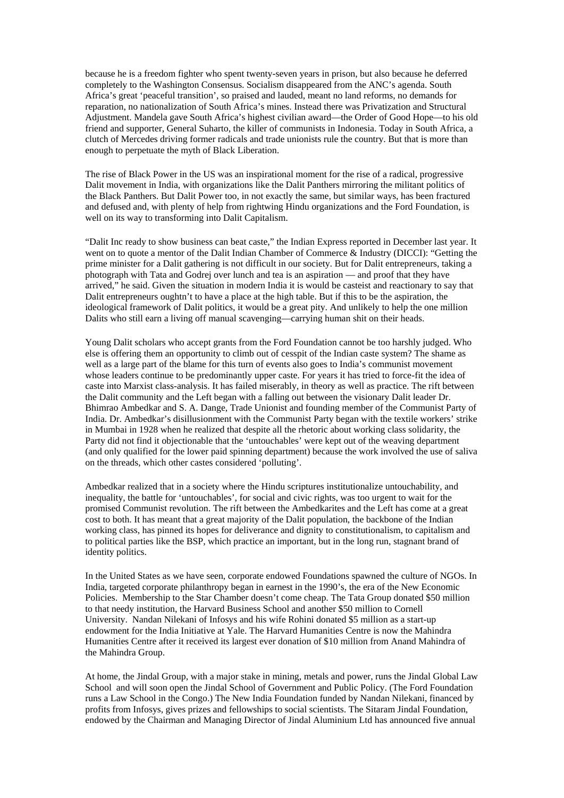because he is a freedom fighter who spent twenty-seven years in prison, but also because he deferred completely to the Washington Consensus. Socialism disappeared from the ANC's agenda. South Africa's great 'peaceful transition', so praised and lauded, meant no land reforms, no demands for reparation, no nationalization of South Africa's mines. Instead there was Privatization and Structural Adjustment. Mandela gave South Africa's highest civilian award—the Order of Good Hope—to his old friend and supporter, General Suharto, the killer of communists in Indonesia. Today in South Africa, a clutch of Mercedes driving former radicals and trade unionists rule the country. But that is more than enough to perpetuate the myth of Black Liberation.

The rise of Black Power in the US was an inspirational moment for the rise of a radical, progressive Dalit movement in India, with organizations like the Dalit Panthers mirroring the militant politics of the Black Panthers. But Dalit Power too, in not exactly the same, but similar ways, has been fractured and defused and, with plenty of help from rightwing Hindu organizations and the Ford Foundation, is well on its way to transforming into Dalit Capitalism.

"Dalit Inc ready to show business can beat caste," the Indian Express reported in December last year. It went on to quote a mentor of the Dalit Indian Chamber of Commerce & Industry (DICCI): "Getting the prime minister for a Dalit gathering is not difficult in our society. But for Dalit entrepreneurs, taking a photograph with Tata and Godrej over lunch and tea is an aspiration — and proof that they have arrived," he said. Given the situation in modern India it is would be casteist and reactionary to say that Dalit entrepreneurs oughtn't to have a place at the high table. But if this to be the aspiration, the ideological framework of Dalit politics, it would be a great pity. And unlikely to help the one million Dalits who still earn a living off manual scavenging—carrying human shit on their heads.

Young Dalit scholars who accept grants from the Ford Foundation cannot be too harshly judged. Who else is offering them an opportunity to climb out of cesspit of the Indian caste system? The shame as well as a large part of the blame for this turn of events also goes to India's communist movement whose leaders continue to be predominantly upper caste. For years it has tried to force-fit the idea of caste into Marxist class-analysis. It has failed miserably, in theory as well as practice. The rift between the Dalit community and the Left began with a falling out between the visionary Dalit leader Dr. Bhimrao Ambedkar and S. A. Dange, Trade Unionist and founding member of the Communist Party of India. Dr. Ambedkar's disillusionment with the Communist Party began with the textile workers' strike in Mumbai in 1928 when he realized that despite all the rhetoric about working class solidarity, the Party did not find it objectionable that the 'untouchables' were kept out of the weaving department (and only qualified for the lower paid spinning department) because the work involved the use of saliva on the threads, which other castes considered 'polluting'.

Ambedkar realized that in a society where the Hindu scriptures institutionalize untouchability, and inequality, the battle for 'untouchables', for social and civic rights, was too urgent to wait for the promised Communist revolution. The rift between the Ambedkarites and the Left has come at a great cost to both. It has meant that a great majority of the Dalit population, the backbone of the Indian working class, has pinned its hopes for deliverance and dignity to constitutionalism, to capitalism and to political parties like the BSP, which practice an important, but in the long run, stagnant brand of identity politics.

In the United States as we have seen, corporate endowed Foundations spawned the culture of NGOs. In India, targeted corporate philanthropy began in earnest in the 1990's, the era of the New Economic Policies. Membership to the Star Chamber doesn't come cheap. The Tata Group donated \$50 million to that needy institution, the Harvard Business School and another \$50 million to Cornell University. Nandan Nilekani of Infosys and his wife Rohini donated \$5 million as a start-up endowment for the India Initiative at Yale. The Harvard Humanities Centre is now the Mahindra Humanities Centre after it received its largest ever donation of \$10 million from Anand Mahindra of the Mahindra Group.

At home, the Jindal Group, with a major stake in mining, metals and power, runs the Jindal Global Law School and will soon open the Jindal School of Government and Public Policy. (The Ford Foundation runs a Law School in the Congo.) The New India Foundation funded by Nandan Nilekani, financed by profits from Infosys, gives prizes and fellowships to social scientists. The Sitaram Jindal Foundation, endowed by the Chairman and Managing Director of Jindal Aluminium Ltd has announced five annual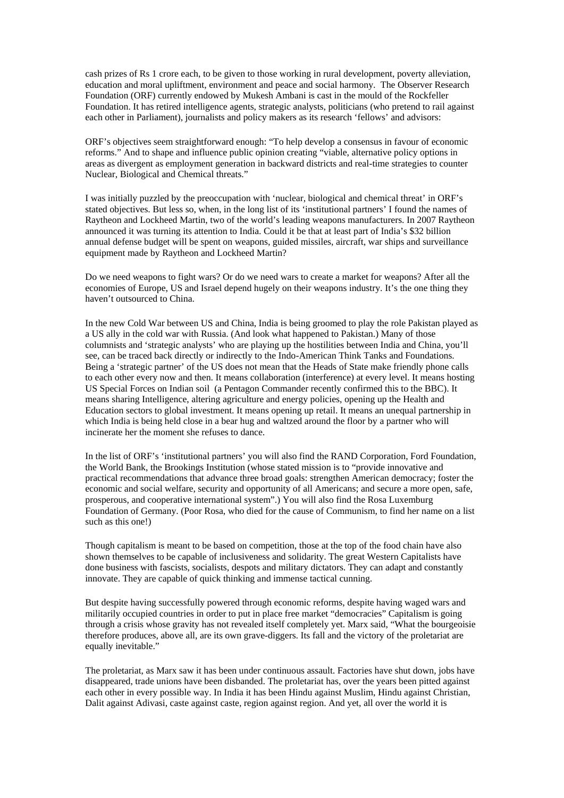cash prizes of Rs 1 crore each, to be given to those working in rural development, poverty alleviation, education and moral upliftment, environment and peace and social harmony. The Observer Research Foundation (ORF) currently endowed by Mukesh Ambani is cast in the mould of the Rockfeller Foundation. It has retired intelligence agents, strategic analysts, politicians (who pretend to rail against each other in Parliament), journalists and policy makers as its research 'fellows' and advisors:

ORF's objectives seem straightforward enough: "To help develop a consensus in favour of economic reforms." And to shape and influence public opinion creating "viable, alternative policy options in areas as divergent as employment generation in backward districts and real-time strategies to counter Nuclear, Biological and Chemical threats."

I was initially puzzled by the preoccupation with 'nuclear, biological and chemical threat' in ORF's stated objectives. But less so, when, in the long list of its 'institutional partners' I found the names of Raytheon and Lockheed Martin, two of the world's leading weapons manufacturers. In 2007 Raytheon announced it was turning its attention to India. Could it be that at least part of India's \$32 billion annual defense budget will be spent on weapons, guided missiles, aircraft, war ships and surveillance equipment made by Raytheon and Lockheed Martin?

Do we need weapons to fight wars? Or do we need wars to create a market for weapons? After all the economies of Europe, US and Israel depend hugely on their weapons industry. It's the one thing they haven't outsourced to China.

In the new Cold War between US and China, India is being groomed to play the role Pakistan played as a US ally in the cold war with Russia. (And look what happened to Pakistan.) Many of those columnists and 'strategic analysts' who are playing up the hostilities between India and China, you'll see, can be traced back directly or indirectly to the Indo-American Think Tanks and Foundations. Being a 'strategic partner' of the US does not mean that the Heads of State make friendly phone calls to each other every now and then. It means collaboration (interference) at every level. It means hosting US Special Forces on Indian soil (a Pentagon Commander recently confirmed this to the BBC). It means sharing Intelligence, altering agriculture and energy policies, opening up the Health and Education sectors to global investment. It means opening up retail. It means an unequal partnership in which India is being held close in a bear hug and waltzed around the floor by a partner who will incinerate her the moment she refuses to dance.

In the list of ORF's 'institutional partners' you will also find the RAND Corporation, Ford Foundation, the World Bank, the Brookings Institution (whose stated mission is to "provide innovative and practical recommendations that advance three broad goals: strengthen American democracy; foster the economic and social welfare, security and opportunity of all Americans; and secure a more open, safe, prosperous, and cooperative international system".) You will also find the Rosa Luxemburg Foundation of Germany. (Poor Rosa, who died for the cause of Communism, to find her name on a list such as this one!)

Though capitalism is meant to be based on competition, those at the top of the food chain have also shown themselves to be capable of inclusiveness and solidarity. The great Western Capitalists have done business with fascists, socialists, despots and military dictators. They can adapt and constantly innovate. They are capable of quick thinking and immense tactical cunning.

But despite having successfully powered through economic reforms, despite having waged wars and militarily occupied countries in order to put in place free market "democracies" Capitalism is going through a crisis whose gravity has not revealed itself completely yet. Marx said, "What the bourgeoisie therefore produces, above all, are its own grave-diggers. Its fall and the victory of the proletariat are equally inevitable."

The proletariat, as Marx saw it has been under continuous assault. Factories have shut down, jobs have disappeared, trade unions have been disbanded. The proletariat has, over the years been pitted against each other in every possible way. In India it has been Hindu against Muslim, Hindu against Christian, Dalit against Adivasi, caste against caste, region against region. And yet, all over the world it is